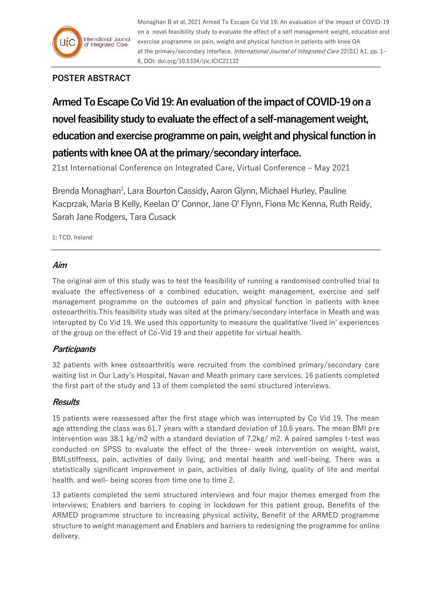

Monaghan B et al, 2021 Armed To Escape Co Vid 19: An evaluation of the impact of COVID-19 on a novel feasibility study to evaluate the effect of a self management weight, education and exercise programme on pain, weight and physical function in patients with knee OA at the primary/secondary interface. International Journal of Integrated Care 22(S1) A1, pp. 1-8, DOI: doi.org/10.5334/ijic.ICIC21132

# **POSTER ABSTRACT**

**Armed To Escape Co Vid 19: An evaluation of the impact of COVID-19 on a novel feasibility study to evaluate the effect of a self-management weight, education and exercise programme on pain, weight and physical function in patients with knee OA at the primary/secondary interface.**

21st International Conference on Integrated Care, Virtual Conference – May 2021

Brenda Monaghan<sup>1</sup>, Lara Bourton Cassidy, Aaron Glynn, Michael Hurley, Pauline Kacprzak, Maria B Kelly, Keelan O' Connor, Jane O' Flynn, Fiona Mc Kenna, Ruth Reidy, Sarah Jane Rodgers, Tara Cusack

1: TCD, Ireland

### **Aim**

The original aim of this study was to test the feasibility of running a randomised controlled trial to evaluate the effectiveness of a combined education, weight management, exercise and self management programme on the outcomes of pain and physical function in patients with knee osteoarthritis.This feasibility study was sited at the primary/secondary interface in Meath and was interupted by Co Vid 19. We used this opportunity to measure the qualitative 'lived in' experiences of the group on the effect of Co-Vid 19 and their appetite for virtual health.

## **Participants**

32 patients with knee osteoarthritis were recruited from the combined primary/secondary care waiting list in Our Lady's Hospital, Navan and Meath primary care services. 16 patients completed the first part of the study and 13 of them completed the semi structured interviews.

### **Results**

15 patients were reassessed after the first stage which was interrupted by Co Vid 19. The mean age attending the class was 61.7 years with a standard deviation of 10.6 years. The mean BMI pre intervention was 38.1 kg/m2 with a standard deviation of 7.2kg/ m2. A paired samples t-test was conducted on SPSS to evaluate the effect of the three- week intervention on weight, waist, BMI,stiffness, pain, activities of daily living, and mental health and well-being. There was a statistically significant improvement in pain, activities of daily living, quality of life and mental health. and well- being scores from time one to time 2.

13 patients completed the semi structured interviews and four major themes emerged from the interviews; Enablers and barriers to coping in lockdown for this patient group, Benefits of the ARMED programme structure to increasing physical activity, Benefit of the ARMED programme structure to weight management and Enablers and barriers to redesigning the programme for online delivery.